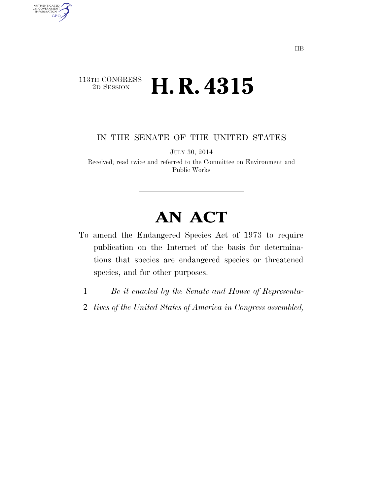### $\begin{array}{c} \textbf{113TH CONGRESS} \\ \textbf{2D SESION} \end{array}$ 2D SESSION **H. R. 4315**

AUTHENTICATED<br>U.S. GOVERNMENT<br>INFORMATION GPO

IN THE SENATE OF THE UNITED STATES

JULY 30, 2014

Received; read twice and referred to the Committee on Environment and Public Works

# **AN ACT**

- To amend the Endangered Species Act of 1973 to require publication on the Internet of the basis for determinations that species are endangered species or threatened species, and for other purposes.
	- 1 *Be it enacted by the Senate and House of Representa-*
	- 2 *tives of the United States of America in Congress assembled,*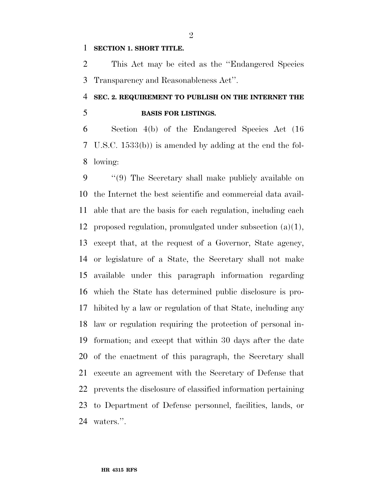#### **SECTION 1. SHORT TITLE.**

 This Act may be cited as the ''Endangered Species Transparency and Reasonableness Act''.

## **SEC. 2. REQUIREMENT TO PUBLISH ON THE INTERNET THE BASIS FOR LISTINGS.**

 Section 4(b) of the Endangered Species Act (16 U.S.C. 1533(b)) is amended by adding at the end the fol-lowing:

 ''(9) The Secretary shall make publicly available on the Internet the best scientific and commercial data avail- able that are the basis for each regulation, including each proposed regulation, promulgated under subsection (a)(1), except that, at the request of a Governor, State agency, or legislature of a State, the Secretary shall not make available under this paragraph information regarding which the State has determined public disclosure is pro- hibited by a law or regulation of that State, including any law or regulation requiring the protection of personal in- formation; and except that within 30 days after the date of the enactment of this paragraph, the Secretary shall execute an agreement with the Secretary of Defense that prevents the disclosure of classified information pertaining to Department of Defense personnel, facilities, lands, or waters.''.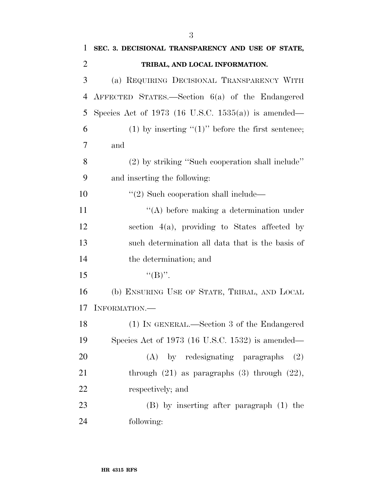| 1              | SEC. 3. DECISIONAL TRANSPARENCY AND USE OF STATE,     |
|----------------|-------------------------------------------------------|
| $\overline{2}$ | TRIBAL, AND LOCAL INFORMATION.                        |
| 3              | (a) REQUIRING DECISIONAL TRANSPARENCY WITH            |
| 4              | AFFECTED STATES.—Section $6(a)$ of the Endangered     |
| 5              | Species Act of 1973 (16 U.S.C. 1535(a)) is amended—   |
| 6              | (1) by inserting " $(1)$ " before the first sentence; |
| 7              | and                                                   |
| 8              | (2) by striking "Such cooperation shall include"      |
| 9              | and inserting the following:                          |
| 10             | $\lq(2)$ Such cooperation shall include—              |
| 11             | $\lq\lq$ before making a determination under          |
| 12             | section $4(a)$ , providing to States affected by      |
| 13             | such determination all data that is the basis of      |
| 14             | the determination; and                                |
| 15             | $``(B)''$ .                                           |
| 16             | (b) ENSURING USE OF STATE, TRIBAL, AND LOCAL          |
| 17             | INFORMATION.—                                         |
| 18             | (1) IN GENERAL.—Section 3 of the Endangered           |
| 19             | Species Act of 1973 (16 U.S.C. 1532) is amended—      |
| 20             | (A) by redesignating paragraphs<br>(2)                |
| 21             | through $(21)$ as paragraphs $(3)$ through $(22)$ ,   |
| 22             | respectively; and                                     |
| 23             | (B) by inserting after paragraph (1) the              |
| 24             | following:                                            |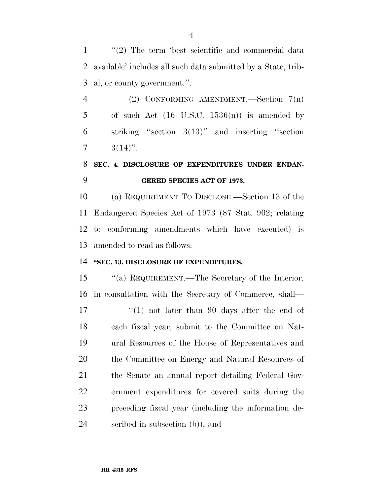1 ''(2) The term 'best scientific and commercial data available' includes all such data submitted by a State, trib-al, or county government.''.

 (2) CONFORMING AMENDMENT.—Section 7(n) 5 of such Act  $(16 \text{ U.S.C. } 1536(n))$  is amended by striking ''section 3(13)'' and inserting ''section  $7 \t3(14)$ ".

### **SEC. 4. DISCLOSURE OF EXPENDITURES UNDER ENDAN-GERED SPECIES ACT OF 1973.**

 (a) REQUIREMENT TO DISCLOSE.—Section 13 of the Endangered Species Act of 1973 (87 Stat. 902; relating to conforming amendments which have executed) is amended to read as follows:

### **''SEC. 13. DISCLOSURE OF EXPENDITURES.**

 ''(a) REQUIREMENT.—The Secretary of the Interior, in consultation with the Secretary of Commerce, shall—

 $\frac{17}{2}$   $\frac{17}{2}$  not later than 90 days after the end of each fiscal year, submit to the Committee on Nat- ural Resources of the House of Representatives and 20 the Committee on Energy and Natural Resources of the Senate an annual report detailing Federal Gov- ernment expenditures for covered suits during the preceding fiscal year (including the information de-scribed in subsection (b)); and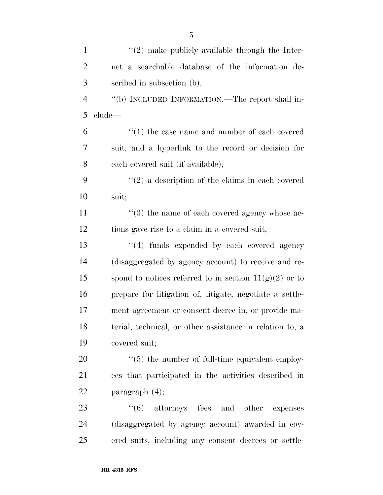| $\mathbf{1}$   | $\lq(2)$ make publicly available through the Inter-         |
|----------------|-------------------------------------------------------------|
| $\overline{2}$ | net a searchable database of the information de-            |
| 3              | scribed in subsection (b).                                  |
| $\overline{4}$ | "(b) INCLUDED INFORMATION.—The report shall in-             |
| 5              | clude—                                                      |
| 6              | $\cdot$ (1) the case name and number of each covered        |
| 7              | suit, and a hyperlink to the record or decision for         |
| 8              | each covered suit (if available);                           |
| 9              | $\lq(2)$ a description of the claims in each covered        |
| 10             | suit;                                                       |
| 11             | $(3)$ the name of each covered agency whose ac-             |
| 12             | tions gave rise to a claim in a covered suit;               |
| 13             | "(4) funds expended by each covered agency                  |
| 14             | (disaggregated by agency account) to receive and re-        |
| 15             | spond to notices referred to in section $11(g)(2)$ or to    |
| 16             | prepare for litigation of, litigate, negotiate a settle-    |
| 17             | ment agreement or consent decree in, or provide ma-         |
| 18             | terial, technical, or other assistance in relation to, a    |
| 19             | covered suit;                                               |
| 20             | $\cdot\cdot$ (5) the number of full-time equivalent employ- |
| 21             | ees that participated in the activities described in        |
| 22             | paragraph $(4)$ ;                                           |
| 23             | $(6)$ attorneys fees and other<br>expenses                  |
| 24             | (disaggregated by agency account) awarded in cov-           |
| 25             | ered suits, including any consent decrees or settle-        |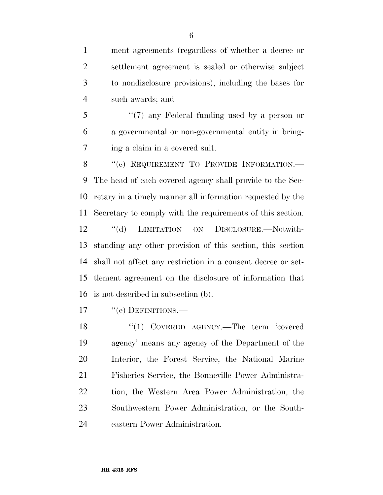ment agreements (regardless of whether a decree or settlement agreement is sealed or otherwise subject to nondisclosure provisions), including the bases for such awards; and

 ''(7) any Federal funding used by a person or a governmental or non-governmental entity in bring-ing a claim in a covered suit.

8 "(c) REQUIREMENT TO PROVIDE INFORMATION.— The head of each covered agency shall provide to the Sec- retary in a timely manner all information requested by the Secretary to comply with the requirements of this section. ''(d) LIMITATION ON DISCLOSURE.—Notwith-standing any other provision of this section, this section

 shall not affect any restriction in a consent decree or set- tlement agreement on the disclosure of information that is not described in subsection (b).

17 "(e) DEFINITIONS.—

18 "(1) COVERED AGENCY.—The term 'covered agency' means any agency of the Department of the Interior, the Forest Service, the National Marine Fisheries Service, the Bonneville Power Administra- tion, the Western Area Power Administration, the Southwestern Power Administration, or the South-eastern Power Administration.